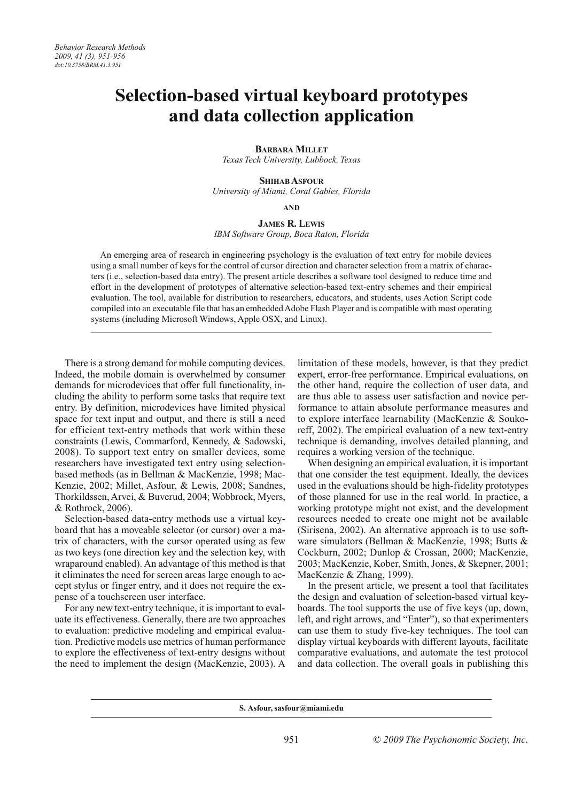# **Selection-based virtual keyboard prototypes and data collection application**

## **BARBARA MILLET**

*Texas Tech University, Lubbock, Texas*

**SHIHAB ASFOUR** *University of Miami, Coral Gables, Florida*

**AND**

**JAMES R. LEWIS** *IBM Software Group, Boca Raton, Florida*

An emerging area of research in engineering psychology is the evaluation of text entry for mobile devices using a small number of keys for the control of cursor direction and character selection from a matrix of characters (i.e., selection-based data entry). The present article describes a software tool designed to reduce time and effort in the development of prototypes of alternative selection-based text-entry schemes and their empirical evaluation. The tool, available for distribution to researchers, educators, and students, uses Action Script code compiled into an executable file that has an embedded Adobe Flash Player and is compatible with most operating systems (including Microsoft Windows, Apple OSX, and Linux).

There is a strong demand for mobile computing devices. Indeed, the mobile domain is overwhelmed by consumer demands for microdevices that offer full functionality, including the ability to perform some tasks that require text entry. By definition, microdevices have limited physical space for text input and output, and there is still a need for efficient text-entry methods that work within these constraints (Lewis, Commarford, Kennedy, & Sadowski, 2008). To support text entry on smaller devices, some researchers have investigated text entry using selectionbased methods (as in Bellman & MacKenzie, 1998; Mac-Kenzie, 2002; Millet, Asfour, & Lewis, 2008; Sandnes, Thorkildssen, Arvei, & Buverud, 2004; Wobbrock, Myers, & Rothrock, 2006).

Selection-based data-entry methods use a virtual keyboard that has a moveable selector (or cursor) over a matrix of characters, with the cursor operated using as few as two keys (one direction key and the selection key, with wraparound enabled). An advantage of this method is that it eliminates the need for screen areas large enough to accept stylus or finger entry, and it does not require the expense of a touchscreen user interface.

For any new text-entry technique, it is important to evaluate its effectiveness. Generally, there are two approaches to evaluation: predictive modeling and empirical evaluation. Predictive models use metrics of human performance to explore the effectiveness of text-entry designs without the need to implement the design (MacKenzie, 2003). A

limitation of these models, however, is that they predict expert, error-free performance. Empirical evaluations, on the other hand, require the collection of user data, and are thus able to assess user satisfaction and novice performance to attain absolute performance measures and to explore interface learnability (MacKenzie & Soukoreff, 2002). The empirical evaluation of a new text-entry technique is demanding, involves detailed planning, and requires a working version of the technique.

When designing an empirical evaluation, it is important that one consider the test equipment. Ideally, the devices used in the evaluations should be high-fidelity prototypes of those planned for use in the real world. In practice, a working prototype might not exist, and the development resources needed to create one might not be available (Sirisena, 2002). An alternative approach is to use software simulators (Bellman & MacKenzie, 1998; Butts & Cockburn, 2002; Dunlop & Crossan, 2000; MacKenzie, 2003; MacKenzie, Kober, Smith, Jones, & Skepner, 2001; MacKenzie & Zhang, 1999).

In the present article, we present a tool that facilitates the design and evaluation of selection-based virtual keyboards. The tool supports the use of five keys (up, down, left, and right arrows, and "Enter"), so that experimenters can use them to study five-key techniques. The tool can display virtual keyboards with different layouts, facilitate comparative evaluations, and automate the test protocol and data collection. The overall goals in publishing this

**S. Asfour, sasfour@miami.edu**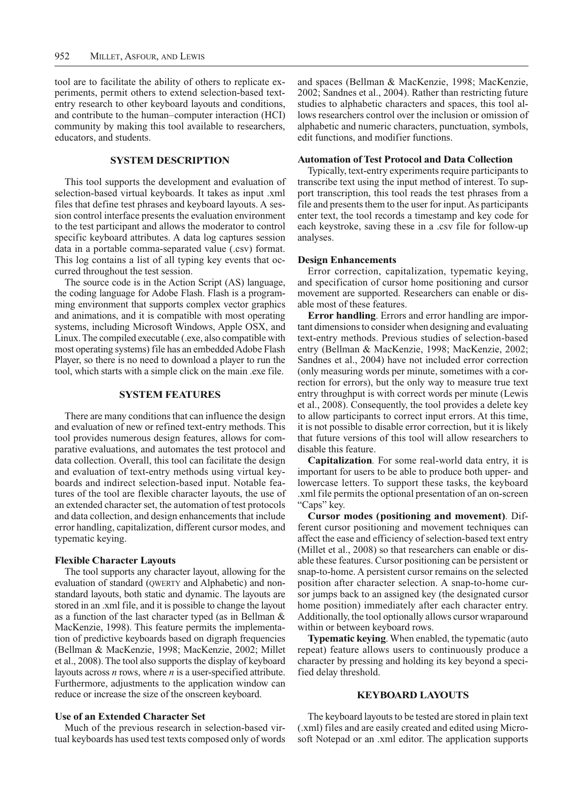tool are to facilitate the ability of others to replicate experiments, permit others to extend selection-based textentry research to other keyboard layouts and conditions, and contribute to the human–computer interaction (HCI) community by making this tool available to researchers, educators, and students.

# **SYSTEM DESCRIPTION**

This tool supports the development and evaluation of selection-based virtual keyboards. It takes as input .xml files that define test phrases and keyboard layouts. A session control interface presents the evaluation environment to the test participant and allows the moderator to control specific keyboard attributes. A data log captures session data in a portable comma-separated value (.csv) format. This log contains a list of all typing key events that occurred throughout the test session.

The source code is in the Action Script (AS) language, the coding language for Adobe Flash. Flash is a programming environment that supports complex vector graphics and animations, and it is compatible with most operating systems, including Microsoft Windows, Apple OSX, and Linux. The compiled executable (.exe, also compatible with most operating systems) file has an embedded Adobe Flash Player, so there is no need to download a player to run the tool, which starts with a simple click on the main .exe file.

## **SYSTEM FEATURES**

There are many conditions that can influence the design and evaluation of new or refined text-entry methods. This tool provides numerous design features, allows for comparative evaluations, and automates the test protocol and data collection. Overall, this tool can facilitate the design and evaluation of text-entry methods using virtual keyboards and indirect selection-based input. Notable features of the tool are flexible character layouts, the use of an extended character set, the automation of test protocols and data collection, and design enhancements that include error handling, capitalization, different cursor modes, and typematic keying.

#### **Flexible Character Layouts**

The tool supports any character layout, allowing for the evaluation of standard (QWERTY and Alphabetic) and nonstandard layouts, both static and dynamic. The layouts are stored in an .xml file, and it is possible to change the layout as a function of the last character typed (as in Bellman & MacKenzie, 1998). This feature permits the implementation of predictive keyboards based on digraph frequencies (Bellman & MacKenzie, 1998; MacKenzie, 2002; Millet et al., 2008). The tool also supports the display of keyboard layouts across *n* rows, where *n* is a user-specified attribute. Furthermore, adjustments to the application window can reduce or increase the size of the onscreen keyboard.

## **Use of an Extended Character Set**

Much of the previous research in selection-based virtual keyboards has used test texts composed only of words and spaces (Bellman & MacKenzie, 1998; MacKenzie, 2002; Sandnes et al., 2004). Rather than restricting future studies to alphabetic characters and spaces, this tool allows researchers control over the inclusion or omission of alphabetic and numeric characters, punctuation, symbols, edit functions, and modifier functions.

#### **Automation of Test Protocol and Data Collection**

Typically, text-entry experiments require participants to transcribe text using the input method of interest. To support transcription, this tool reads the test phrases from a file and presents them to the user for input. As participants enter text, the tool records a timestamp and key code for each keystroke, saving these in a .csv file for follow-up analyses.

## **Design Enhancements**

Error correction, capitalization, typematic keying, and specification of cursor home positioning and cursor movement are supported. Researchers can enable or disable most of these features.

**Error handling**. Errors and error handling are important dimensions to consider when designing and evaluating text-entry methods. Previous studies of selection-based entry (Bellman & MacKenzie, 1998; MacKenzie, 2002; Sandnes et al., 2004) have not included error correction (only measuring words per minute, sometimes with a correction for errors), but the only way to measure true text entry throughput is with correct words per minute (Lewis et al., 2008). Consequently, the tool provides a delete key to allow participants to correct input errors. At this time, it is not possible to disable error correction, but it is likely that future versions of this tool will allow researchers to disable this feature.

**Capitalization***.* For some real-world data entry, it is important for users to be able to produce both upper- and lowercase letters. To support these tasks, the keyboard .xml file permits the optional presentation of an on-screen "Caps" key.

**Cursor modes (positioning and movement)**. Different cursor positioning and movement techniques can affect the ease and efficiency of selection-based text entry (Millet et al., 2008) so that researchers can enable or disable these features. Cursor positioning can be persistent or snap-to-home. A persistent cursor remains on the selected position after character selection. A snap-to-home cursor jumps back to an assigned key (the designated cursor home position) immediately after each character entry. Additionally, the tool optionally allows cursor wraparound within or between keyboard rows.

**Typematic keying**. When enabled, the typematic (auto repeat) feature allows users to continuously produce a character by pressing and holding its key beyond a specified delay threshold.

# **KEYBOARD LAYOUTS**

The keyboard layouts to be tested are stored in plain text (.xml) files and are easily created and edited using Microsoft Notepad or an .xml editor. The application supports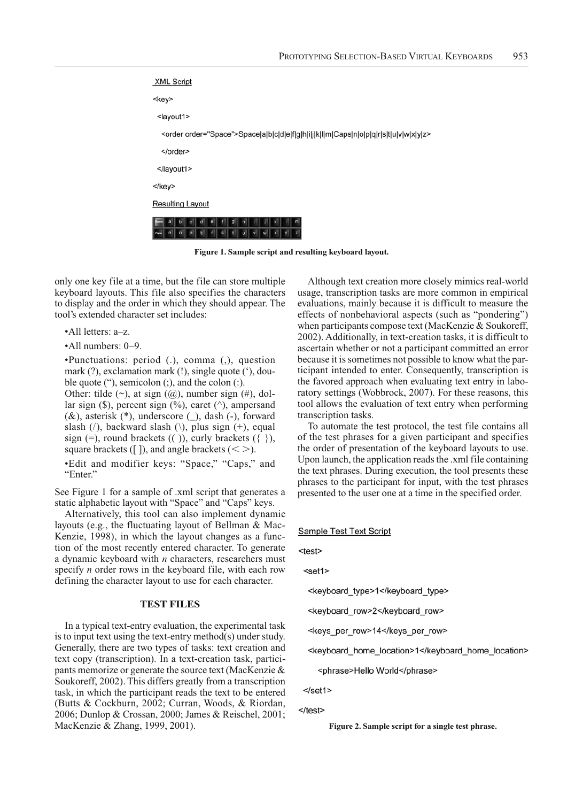|                                                                                                 | <b>XML Script</b>                                                       |  |  |  |  |
|-------------------------------------------------------------------------------------------------|-------------------------------------------------------------------------|--|--|--|--|
|                                                                                                 | <key></key>                                                             |  |  |  |  |
|                                                                                                 | <layout1></layout1>                                                     |  |  |  |  |
| <order order="Space">Space a b c d e f g h i j k l m Caps n o p q r s t u v w x y z&gt;</order> |                                                                         |  |  |  |  |
|                                                                                                 |                                                                         |  |  |  |  |
|                                                                                                 | $<$ /layout1>                                                           |  |  |  |  |
|                                                                                                 | $<$ /key>                                                               |  |  |  |  |
|                                                                                                 | <b>Resulting Layout</b>                                                 |  |  |  |  |
|                                                                                                 | b<br>e<br>a<br>c<br>d                                                   |  |  |  |  |
|                                                                                                 | $\circ$<br>Caps<br>s<br>z<br>q<br>$\mathbf{r}$<br>n<br>p<br>u<br>v<br>W |  |  |  |  |

**Figure 1. Sample script and resulting keyboard layout.**

only one key file at a time, but the file can store multiple keyboard layouts. This file also specifies the characters to display and the order in which they should appear. The tool's extended character set includes:

 $\cdot$ All letters: a-z.

 $\cdot$ All numbers: 0-9.

 $\cdot$ Punctuations: period (.), comma (,), question mark (?), exclamation mark (!), single quote ( $\dot{\ }$ ), double quote ("), semicolon (;), and the colon (:).

Other: tilde  $(\sim)$ , at sign  $(\omega)$ , number sign  $(\#)$ , dollar sign  $(\%)$ , percent sign  $(\%)$ , caret  $(\Diamond)$ , ampersand  $(\&)$ , asterisk  $(*)$ , underscore  $(.)$ , dash  $(.)$ , forward slash ( $\prime$ ), backward slash (\), plus sign (+), equal sign  $(=)$ , round brackets  $(())$ , curly brackets  $({})$ , square brackets ([ ]), and angle brackets  $(<$  >).

•Edit and modifier keys: "Space," "Caps," and "Enter."

See Figure 1 for a sample of .xml script that generates a static alphabetic layout with "Space" and "Caps" keys.

Alternatively, this tool can also implement dynamic layouts (e.g., the fluctuating layout of Bellman & Mac-Kenzie, 1998), in which the layout changes as a function of the most recently entered character. To generate a dynamic keyboard with *n* characters, researchers must specify *n* order rows in the keyboard file, with each row defining the character layout to use for each character.

## **TEST FILES**

In a typical text-entry evaluation, the experimental task is to input text using the text-entry method(s) under study. Generally, there are two types of tasks: text creation and text copy (transcription). In a text-creation task, participants memorize or generate the source text (MacKenzie & Soukoreff, 2002). This differs greatly from a transcription task, in which the participant reads the text to be entered (Butts & Cockburn, 2002; Curran, Woods, & Riordan, 2006; Dunlop & Crossan, 2000; James & Reischel, 2001; MacKenzie & Zhang, 1999, 2001).

Although text creation more closely mimics real-world usage, transcription tasks are more common in empirical evaluations, mainly because it is difficult to measure the effects of nonbehavioral aspects (such as "pondering") when participants compose text (MacKenzie & Soukoreff, 2002). Additionally, in text-creation tasks, it is difficult to ascertain whether or not a participant committed an error because it is sometimes not possible to know what the participant intended to enter. Consequently, transcription is the favored approach when evaluating text entry in laboratory settings (Wobbrock, 2007). For these reasons, this tool allows the evaluation of text entry when performing transcription tasks.

To automate the test protocol, the test file contains all of the test phrases for a given participant and specifies the order of presentation of the keyboard layouts to use. Upon launch, the application reads the .xml file containing the text phrases. During execution, the tool presents these phrases to the participant for input, with the test phrases presented to the user one at a time in the specified order.

#### Sample Test Text Script

<test>

 $<$ set1>

<keyboard type>1</keyboard type>

<keyboard\_row>2</keyboard\_row>

<keys\_per\_row>14</keys\_per\_row>

<keyboard\_home\_location>1</keyboard\_home\_location>

<phrase>Hello World</phrase>

## $<$ /set1>

#### $<$ /test>

#### **Figure 2. Sample script for a single test phrase.**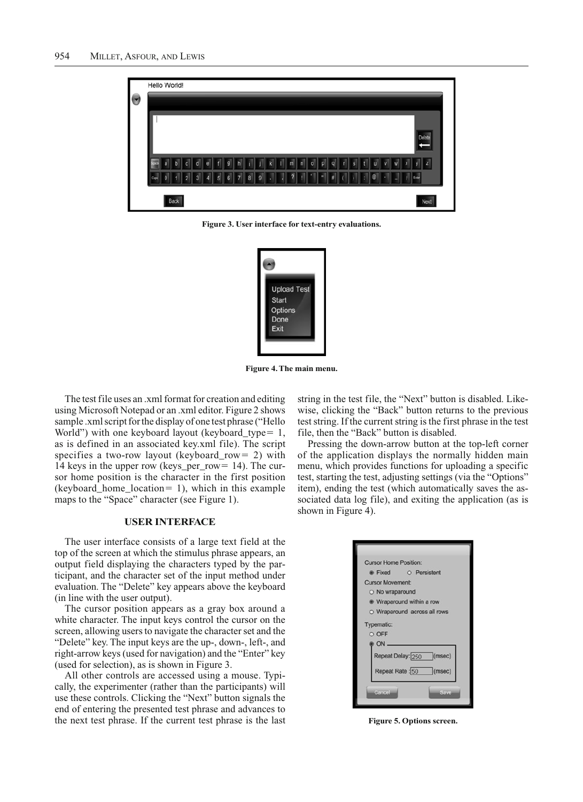

**Figure 3. User interface for text-entry evaluations.**

| <b>Upload Test</b><br><b>Start</b><br>Options |  |
|-----------------------------------------------|--|
| Done<br>Exit                                  |  |

**Figure 4. The main menu.**

The test file uses an .xml format for creation and editing using Microsoft Notepad or an .xml editor. Figure 2 shows sample .xml script for the display of one test phrase ("Hello World") with one keyboard layout (keyboard type  $= 1$ , as is defined in an associated key.xml file). The script specifies a two-row layout (keyboard\_row = 2) with 14 keys in the upper row (keys\_per\_row = 14). The cursor home position is the character in the first position  $(keyboard\_home\_location = 1)$ , which in this example maps to the "Space" character (see Figure 1).

## **USER INTERFACE**

The user interface consists of a large text field at the top of the screen at which the stimulus phrase appears, an output field displaying the characters typed by the participant, and the character set of the input method under evaluation. The "Delete" key appears above the keyboard (in line with the user output).

The cursor position appears as a gray box around a white character. The input keys control the cursor on the screen, allowing users to navigate the character set and the "Delete" key. The input keys are the up-, down-, left-, and right-arrow keys (used for navigation) and the "Enter" key (used for selection), as is shown in Figure 3.

All other controls are accessed using a mouse. Typically, the experimenter (rather than the participants) will use these controls. Clicking the "Next" button signals the end of entering the presented test phrase and advances to the next test phrase. If the current test phrase is the last string in the test file, the "Next" button is disabled. Likewise, clicking the "Back" button returns to the previous test string. If the current string is the first phrase in the test file, then the "Back" button is disabled.

Pressing the down-arrow button at the top-left corner of the application displays the normally hidden main menu, which provides functions for uploading a specific test, starting the test, adjusting settings (via the "Options" item), ending the test (which automatically saves the associated data log file), and exiting the application (as is shown in Figure 4).

| <b>Cursor Home Position:</b> |  |  |  |  |  |  |
|------------------------------|--|--|--|--|--|--|
| Fixed O Persistent           |  |  |  |  |  |  |
| <b>Cursor Movement:</b>      |  |  |  |  |  |  |
| O No wraparound              |  |  |  |  |  |  |
| Wraparound within a row      |  |  |  |  |  |  |
| O Wraparound across all rows |  |  |  |  |  |  |
| Typematic:<br>O OFF          |  |  |  |  |  |  |
| ON.                          |  |  |  |  |  |  |
| (msec)<br>Repeat Delay: 250  |  |  |  |  |  |  |
| Repeat Rate: 50<br>(msec)    |  |  |  |  |  |  |
| <b>Cancel</b><br>Save        |  |  |  |  |  |  |
|                              |  |  |  |  |  |  |

**Figure 5. Options screen.**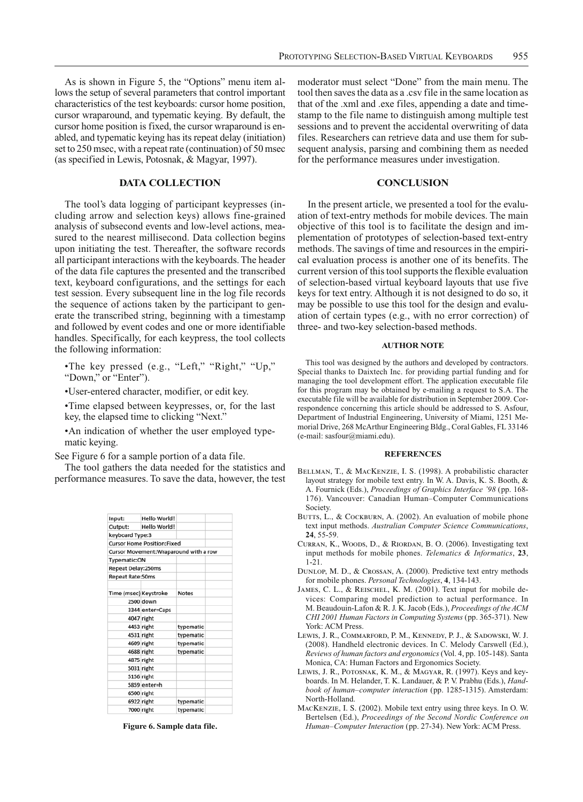As is shown in Figure 5, the "Options" menu item allows the setup of several parameters that control important characteristics of the test keyboards: cursor home position, cursor wraparound, and typematic keying. By default, the cursor home position is fixed, the cursor wraparound is enabled, and typematic keying has its repeat delay (initiation) set to 250 msec, with a repeat rate (continuation) of 50 msec (as specified in Lewis, Potosnak, & Magyar, 1997).

## **DATA COLLECTION**

The tool's data logging of participant keypresses (including arrow and selection keys) allows fine-grained analysis of subsecond events and low-level actions, measured to the nearest millisecond. Data collection begins upon initiating the test. Thereafter, the software records all participant interactions with the keyboards. The header of the data file captures the presented and the transcribed text, keyboard configurations, and the settings for each test session. Every subsequent line in the log file records the sequence of actions taken by the participant to generate the transcribed string, beginning with a timestamp and followed by event codes and one or more identifiable handles. Specifically, for each keypress, the tool collects the following information:

•The key pressed (e.g., "Left," "Right," "Up," "Down," or "Enter").

•User-entered character, modifier, or edit key.

•Time elapsed between keypresses, or, for the last key, the elapsed time to clicking "Next."

• An indication of whether the user employed typematic keying.

See Figure 6 for a sample portion of a data file.

The tool gathers the data needed for the statistics and performance measures. To save the data, however, the test

| Input:                                                                      | <b>Hello World!</b> |              |  |  |  |  |  |
|-----------------------------------------------------------------------------|---------------------|--------------|--|--|--|--|--|
| Output:                                                                     | Hello World!        |              |  |  |  |  |  |
| keyboard Type:3                                                             |                     |              |  |  |  |  |  |
| <b>Cursor Home Position:Fixed</b><br>Cursor Movement: Wraparound with a row |                     |              |  |  |  |  |  |
|                                                                             |                     |              |  |  |  |  |  |
| Repeat Delay:250ms                                                          |                     |              |  |  |  |  |  |
| Repeat Rate:50ms                                                            |                     |              |  |  |  |  |  |
|                                                                             |                     |              |  |  |  |  |  |
| Time (msec) Keystroke                                                       |                     | <b>Notes</b> |  |  |  |  |  |
|                                                                             | 2500 down           |              |  |  |  |  |  |
|                                                                             | 3344 enter=Caps     |              |  |  |  |  |  |
|                                                                             | 4047 right          |              |  |  |  |  |  |
|                                                                             | 4453 right          | typematic    |  |  |  |  |  |
|                                                                             | 4531 right          | typematic    |  |  |  |  |  |
|                                                                             | 4609 right          | typematic    |  |  |  |  |  |
|                                                                             | 4688 right          | typematic    |  |  |  |  |  |
|                                                                             | 4875 right          |              |  |  |  |  |  |
|                                                                             | 5031 right          |              |  |  |  |  |  |
|                                                                             | 5156 right          |              |  |  |  |  |  |
|                                                                             | 5859 enter=h        |              |  |  |  |  |  |
|                                                                             | 6500 right          |              |  |  |  |  |  |
|                                                                             | 6922 right          | typematic    |  |  |  |  |  |
|                                                                             | 7000 right          | typematic    |  |  |  |  |  |

**Figure 6. Sample data file.**

moderator must select "Done" from the main menu. The tool then saves the data as a .csv file in the same location as that of the .xml and .exe files, appending a date and timestamp to the file name to distinguish among multiple test sessions and to prevent the accidental overwriting of data files. Researchers can retrieve data and use them for subsequent analysis, parsing and combining them as needed for the performance measures under investigation.

### **CONCLUSION**

In the present article, we presented a tool for the evaluation of text-entry methods for mobile devices. The main objective of this tool is to facilitate the design and implementation of prototypes of selection-based text-entry methods. The savings of time and resources in the empirical evaluation process is another one of its benefits. The current version of this tool supports the flexible evaluation of selection-based virtual keyboard layouts that use five keys for text entry. Although it is not designed to do so, it may be possible to use this tool for the design and evaluation of certain types (e.g., with no error correction) of three- and two-key selection-based methods.

#### **AUTHOR NOTE**

This tool was designed by the authors and developed by contractors. Special thanks to Daixtech Inc. for providing partial funding and for managing the tool development effort. The application executable file for this program may be obtained by e-mailing a request to S.A. The executable file will be available for distribution in September 2009. Correspondence concerning this article should be addressed to S. Asfour, Department of Industrial Engineering, University of Miami, 1251 Memorial Drive, 268 McArthur Engineering Bldg., Coral Gables, FL 33146 (e-mail: sasfour@miami.edu).

#### **REFERENCES**

- Bellman, T., & MacKenzie, I. S. (1998). A probabilistic character layout strategy for mobile text entry. In W. A. Davis, K. S. Booth, & A. Fournick (Eds.), *Proceedings of Graphics Interface '98* (pp. 168- 176). Vancouver: Canadian Human–Computer Communications Society.
- BUTTS, L., & COCKBURN, A. (2002). An evaluation of mobile phone text input methods. *Australian Computer Science Communications*, **24**, 55-59.
- Curran, K., Woods, D., & Riordan, B. O. (2006). Investigating text input methods for mobile phones. *Telematics & Informatics*, **23**, 1-21.
- Dunlop, M. D., & Crossan, A. (2000). Predictive text entry methods for mobile phones. *Personal Technologies*, **4**, 134-143.
- James, C. L., & Reischel, K. M. (2001). Text input for mobile devices: Comparing model prediction to actual performance. In M. Beaudouin-Lafon & R. J. K. Jacob (Eds.), *Proceedings of the ACM CHI 2001 Human Factors in Computing Systems* (pp. 365-371). New York: ACM Press.
- Lewis, J. R., Commarford, P. M., Kennedy, P. J., & Sadowski, W. J. (2008). Handheld electronic devices. In C. Melody Carswell (Ed.), *Reviews of human factors and ergonomics* (Vol. 4, pp. 105-148). Santa Monica, CA: Human Factors and Ergonomics Society.
- Lewis, J. R., Potosnak, K. M., & Magyar, R. (1997). Keys and keyboards. In M. Helander, T. K. Landauer, & P. V. Prabhu (Eds.), *Handbook of human–computer interaction* (pp. 1285-1315). Amsterdam: North-Holland.
- MacKenzie, I. S. (2002). Mobile text entry using three keys. In O. W. Bertelsen (Ed.), *Proceedings of the Second Nordic Conference on Human–Computer Interaction* (pp. 27-34). New York: ACM Press.